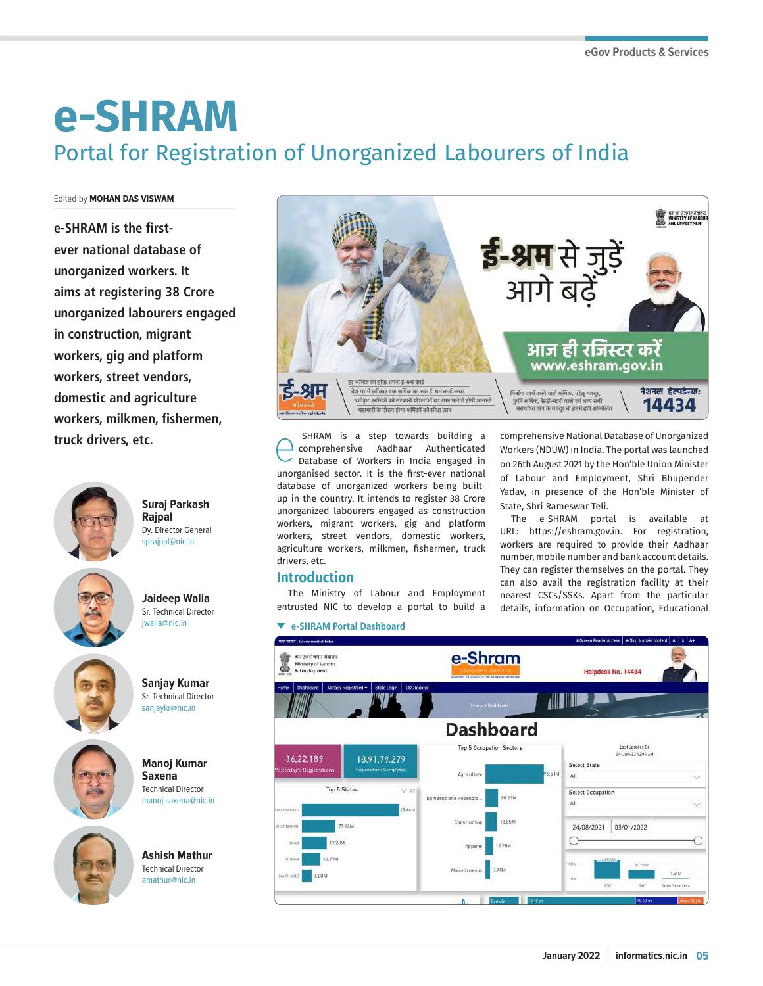# **e-SHRAM** Portal for Registration of Unorganized Labourers of India

#### Edited by **MOHAN DAS VISWAM**

**e-SHRAM is the firstever national database of unorganized workers. It aims at registering 38 Crore unorganized labourers engaged in construction, migrant workers, gig and platform workers, street vendors, domestic and agriculture workers, milkmen, fishermen,** 



**Suraj Parkash Rajpal** Dy. Director General sprajpal@nic.in



**Jaideep Walia** Sr. Technical Director jwalia@nic.in



**Sanjay Kumar** Sr. Technical Director sanjaykr@nic.in

**Manoj Kumar Saxena** Technical Director manoj.saxena@nic.in





**Ashish Mathur** Technical Director amathur@nic.in



**truck drivers, etc.** example the comprehensive and that a step towards building a comprehensive Aadhaar Authenticated Database of Workers in India engaged in comprehensive Aadhaar Authenticated Database of Workers in India engaged in unorganised sector. It is the first-ever national database of unorganized workers being builtup in the country. It intends to register 38 Crore unorganized labourers engaged as construction workers, migrant workers, gig and platform workers, street vendors, domestic workers, agriculture workers, milkmen, fishermen, truck drivers, etc.

## **Introduction**

The Ministry of Labour and Employment entrusted NIC to develop a portal to build a

#### **e-SHRAM Portal Dashboard**

comprehensive National Database of Unorganized Workers (NDUW) in India. The portal was launched on 26th August 2021 by the Hon'ble Union Minister of Labour and Employment, Shri Bhupender Yadav, in presence of the Hon'ble Minister of State, Shri Rameswar Teli.

The e-SHRAM portal is available at URL: https://eshram.gov.in. For registration, workers are required to provide their Aadhaar number, mobile number and bank account details. They can register themselves on the portal. They can also avail the registration facility at their nearest CSCs/SSKs. Apart from the particular details, information on Occupation, Educational

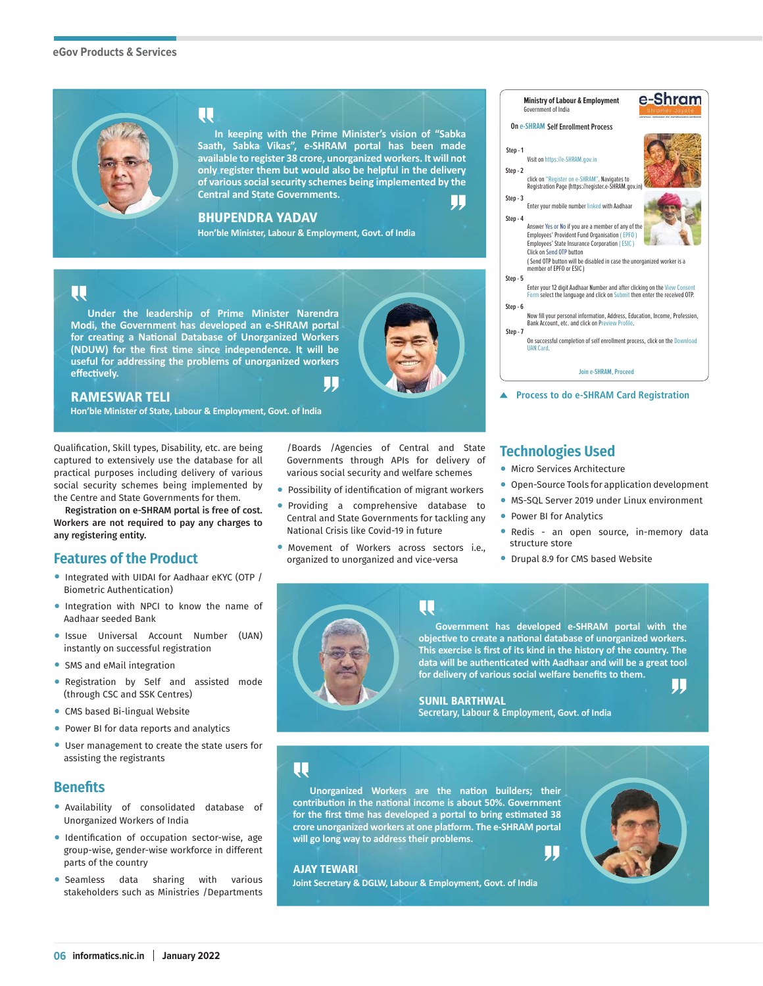

# W

**In keeping with the Prime Minister's vision of "Sabka Saath, Sabka Vikas", e-SHRAM portal has been made available to register 38 crore, unorganized workers. It will not only register them but would also be helpful in the delivery of various social security schemes being implemented by the Central and State Governments.** W

### BHUPENDRA YADAV

**Hon'ble Minister, Labour & Employment, Govt. of India**

## UJ

**Under the leadership of Prime Minister Narendra Modi, the Government has developed an e-SHRAM portal for creating a National Database of Unorganized Workers (NDUW) for the first time since independence. It will be useful for addressing the problems of unorganized workers effectively.** IJ,



## RAMESWAR TELI

**Hon'ble Minister of State, Labour & Employment, Govt. of India**

#### Qualification, Skill types, Disability, etc. are being captured to extensively use the database for all practical purposes including delivery of various social security schemes being implemented by the Centre and State Governments for them.

Registration on e-SHRAM portal is free of cost. Workers are not required to pay any charges to any registering entity.

## **Features of the Product**

- Integrated with UIDAI for Aadhaar eKYC (OTP / Biometric Authentication)
- Integration with NPCI to know the name of Aadhaar seeded Bank
- Issue Universal Account Number (UAN) instantly on successful registration
- SMS and eMail integration
- Registration by Self and assisted mode (through CSC and SSK Centres)
- CMS based Bi-lingual Website
- Power BI for data reports and analytics
- User management to create the state users for assisting the registrants

## **Benefits**

- Availability of consolidated database of Unorganized Workers of India
- Identification of occupation sector-wise, age group-wise, gender-wise workforce in different parts of the country
- Seamless data sharing with various stakeholders such as Ministries /Departments

/Boards /Agencies of Central and State Governments through APIs for delivery of various social security and welfare schemes

- Possibility of identification of migrant workers
- Providing a comprehensive database to Central and State Governments for tackling any National Crisis like Covid-19 in future
- Movement of Workers across sectors i.e., organized to unorganized and vice-versa



## **Technologies Used**

- Micro Services Architecture
- Open-Source Tools for application development
- MS-SQL Server 2019 under Linux environment
- Power BI for Analytics
- Redis an open source, in-memory data structure store
- Drupal 8.9 for CMS based Website



#### **Government has developed e-SHRAM portal with the objective to create a national database of unorganized workers. This exercise is first of its kind in the history of the country. The data will be authenticated with Aadhaar and will be a great tool for delivery of various social welfare benefits to them.** IJIJ

SUNIL BARTHWAL Secretary, Labour & Employment, **Govt. of India**

## प्प

**Unorganized Workers are the nation builders; their contribution in the national income is about 50%. Government for the first time has developed a portal to bring estimated 38 crore unorganized workers at one platform. The e-SHRAM portal will go long way to address their problems.**

UU

## AJAY TEWARI

**Joint Secretary & DGLW, Labour & Employment, Govt. of India**